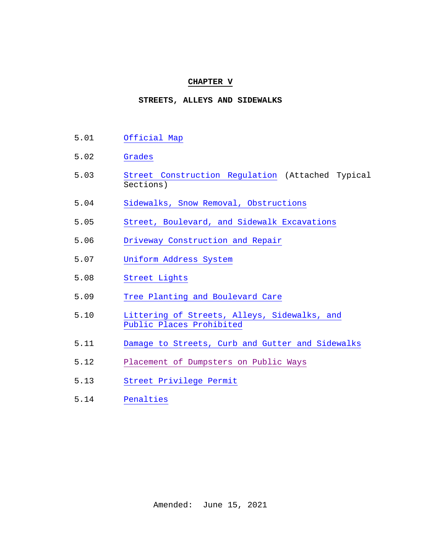#### **CHAPTER V**

### **STREETS, ALLEYS AND SIDEWALKS**

- 5.01 [Official Map](#page-1-0)
- 5.02 [Grades](#page-1-1)
- 5.03 [Street Construction Regulation](#page-2-0) (Attached Typical Sections)
- 5.04 [Sidewalks, Snow Removal, Obstructions](#page-3-0)
- 5.05 Street, Boulevard, [and Sidewalk Excavations](#page-9-0)
- 5.06 [Driveway Construction and Repair](#page-12-0)
- 5.07 [Uniform Address System](#page-19-0)
- 5.08 [Street Lights](#page-21-0)
- 5.09 [Tree Planting and Boulevard Care](#page-21-1)
- 5.10 [Littering of Streets, Alleys, Sidewalks, and](#page-34-0) [Public Places Prohibited](#page-34-0)
- 5.11 [Damage to Streets, Curb and Gutter and](#page-35-0) Sidewalks
- 5.12 [Placement of Dumpsters on Public Ways](#page-35-1)
- 5.13 [Street Privilege Permit](#page-38-0)
- 5.14 [Penalties](#page-39-0)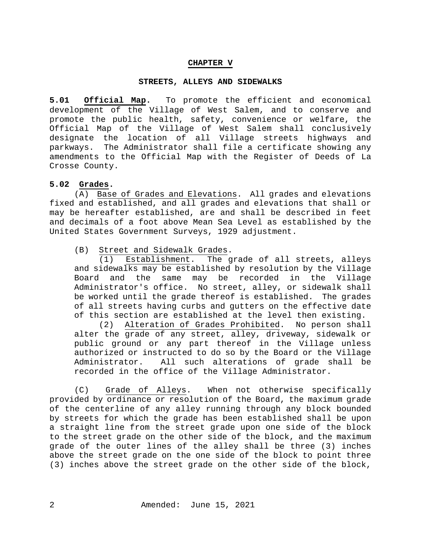### **CHAPTER V**

#### **STREETS, ALLEYS AND SIDEWALKS**

<span id="page-1-0"></span>**5.01 Official Map.** To promote the efficient and economical development of the Village of West Salem, and to conserve and promote the public health, safety, convenience or welfare, the Official Map of the Village of West Salem shall conclusively designate the location of all Village streets highways and parkways. The Administrator shall file a certificate showing any amendments to the Official Map with the Register of Deeds of La Crosse County.

### <span id="page-1-1"></span>**5.02 Grades.**

(A) Base of Grades and Elevations. All grades and elevations fixed and established, and all grades and elevations that shall or may be hereafter established, are and shall be described in feet and decimals of a foot above Mean Sea Level as established by the United States Government Surveys, 1929 adjustment.

(B) Street and Sidewalk Grades.

(1) Establishment. The grade of all streets, alleys and sidewalks may be established by resolution by the Village Board and the same may be recorded in the Village Administrator's office. No street, alley, or sidewalk shall be worked until the grade thereof is established. The grades of all streets having curbs and gutters on the effective date of this section are established at the level then existing.

(2) Alteration of Grades Prohibited. No person shall alter the grade of any street, alley, driveway, sidewalk or public ground or any part thereof in the Village unless authorized or instructed to do so by the Board or the Village<br>Administrator. All such alterations of grade shall be All such alterations of grade shall be recorded in the office of the Village Administrator.

(C) Grade of Alleys. When not otherwise specifically provided by ordinance or resolution of the Board, the maximum grade of the centerline of any alley running through any block bounded by streets for which the grade has been established shall be upon a straight line from the street grade upon one side of the block to the street grade on the other side of the block, and the maximum grade of the outer lines of the alley shall be three (3) inches above the street grade on the one side of the block to point three (3) inches above the street grade on the other side of the block,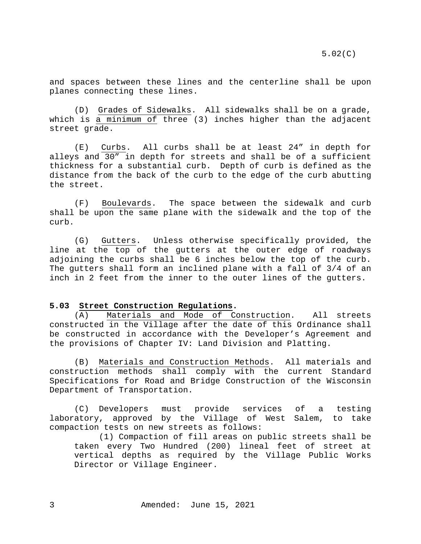and spaces between these lines and the centerline shall be upon planes connecting these lines.

(D) Grades of Sidewalks. All sidewalks shall be on a grade, which is a minimum of three (3) inches higher than the adjacent street grade.

(E) Curbs. All curbs shall be at least 24" in depth for alleys and 30" in depth for streets and shall be of a sufficient thickness for a substantial curb. Depth of curb is defined as the distance from the back of the curb to the edge of the curb abutting the street.

(F) Boulevards. The space between the sidewalk and curb shall be upon the same plane with the sidewalk and the top of the curb.

(G) Gutters. Unless otherwise specifically provided, the line at the top of the gutters at the outer edge of roadways adjoining the curbs shall be 6 inches below the top of the curb. The gutters shall form an inclined plane with a fall of 3/4 of an inch in 2 feet from the inner to the outer lines of the gutters.

#### <span id="page-2-0"></span>**5.03 Street Construction Regulations.**

(A) Materials and Mode of Construction. All streets constructed in the Village after the date of this Ordinance shall be constructed in accordance with the Developer's Agreement and the provisions of Chapter IV: Land Division and Platting.

(B) Materials and Construction Methods. All materials and construction methods shall comply with the current Standard Specifications for Road and Bridge Construction of the Wisconsin Department of Transportation.

(C) Developers must provide services of a testing laboratory, approved by the Village of West Salem, to take compaction tests on new streets as follows:

(1) Compaction of fill areas on public streets shall be taken every Two Hundred (200) lineal feet of street at vertical depths as required by the Village Public Works Director or Village Engineer.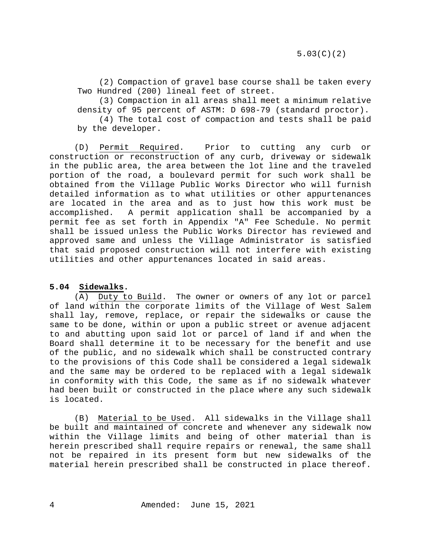(2) Compaction of gravel base course shall be taken every Two Hundred (200) lineal feet of street.

(3) Compaction in all areas shall meet a minimum relative density of 95 percent of ASTM: D 698-79 (standard proctor).

(4) The total cost of compaction and tests shall be paid by the developer.

(D) Permit Required. Prior to cutting any curb or construction or reconstruction of any curb, driveway or sidewalk in the public area, the area between the lot line and the traveled portion of the road, a boulevard permit for such work shall be obtained from the Village Public Works Director who will furnish detailed information as to what utilities or other appurtenances are located in the area and as to just how this work must be accomplished. A permit application shall be accompanied by a permit fee as set forth in Appendix "A" Fee Schedule. No permit shall be issued unless the Public Works Director has reviewed and approved same and unless the Village Administrator is satisfied that said proposed construction will not interfere with existing utilities and other appurtenances located in said areas.

## <span id="page-3-0"></span>**5.04 Sidewalks.**

(A) Duty to Build. The owner or owners of any lot or parcel of land within the corporate limits of the Village of West Salem shall lay, remove, replace, or repair the sidewalks or cause the same to be done, within or upon a public street or avenue adjacent to and abutting upon said lot or parcel of land if and when the Board shall determine it to be necessary for the benefit and use of the public, and no sidewalk which shall be constructed contrary to the provisions of this Code shall be considered a legal sidewalk and the same may be ordered to be replaced with a legal sidewalk in conformity with this Code, the same as if no sidewalk whatever had been built or constructed in the place where any such sidewalk is located.

(B) Material to be Used. All sidewalks in the Village shall be built and maintained of concrete and whenever any sidewalk now within the Village limits and being of other material than is herein prescribed shall require repairs or renewal, the same shall not be repaired in its present form but new sidewalks of the material herein prescribed shall be constructed in place thereof.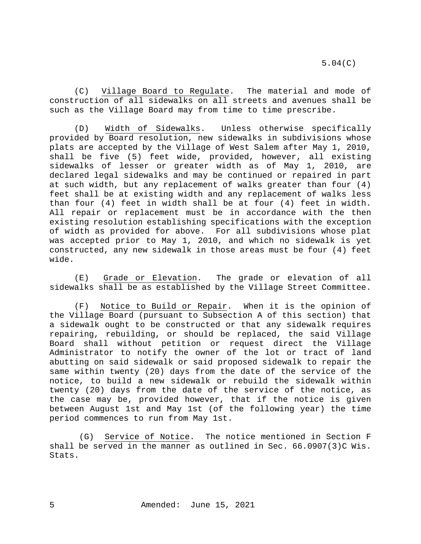(C) Village Board to Regulate. The material and mode of construction of all sidewalks on all streets and avenues shall be such as the Village Board may from time to time prescribe.

(D) Width of Sidewalks. Unless otherwise specifically provided by Board resolution, new sidewalks in subdivisions whose plats are accepted by the Village of West Salem after May 1, 2010, shall be five (5) feet wide, provided, however, all existing sidewalks of lesser or greater width as of May 1, 2010, are declared legal sidewalks and may be continued or repaired in part at such width, but any replacement of walks greater than four (4) feet shall be at existing width and any replacement of walks less than four (4) feet in width shall be at four (4) feet in width. All repair or replacement must be in accordance with the then existing resolution establishing specifications with the exception of width as provided for above. For all subdivisions whose plat was accepted prior to May 1, 2010, and which no sidewalk is yet constructed, any new sidewalk in those areas must be four (4) feet wide.

(E) Grade or Elevation. The grade or elevation of all sidewalks shall be as established by the Village Street Committee.

(F) Notice to Build or Repair. When it is the opinion of the Village Board (pursuant to Subsection A of this section) that a sidewalk ought to be constructed or that any sidewalk requires repairing, rebuilding, or should be replaced, the said Village Board shall without petition or request direct the Village Administrator to notify the owner of the lot or tract of land abutting on said sidewalk or said proposed sidewalk to repair the same within twenty (20) days from the date of the service of the notice, to build a new sidewalk or rebuild the sidewalk within twenty (20) days from the date of the service of the notice, as the case may be, provided however, that if the notice is given between August 1st and May 1st (of the following year) the time period commences to run from May 1st.

(G) Service of Notice. The notice mentioned in Section F shall be served in the manner as outlined in Sec.  $66.0907(3)$ C Wis. Stats.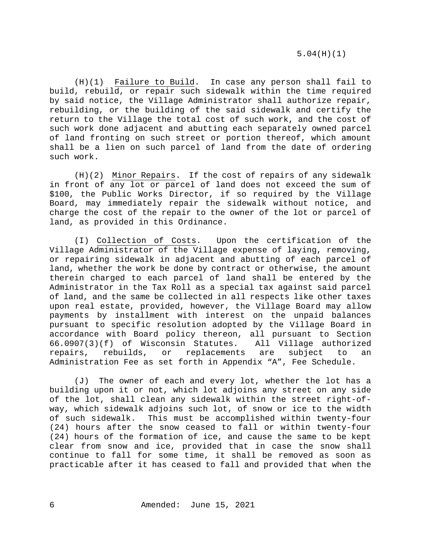(H)(1) Failure to Build. In case any person shall fail to build, rebuild, or repair such sidewalk within the time required by said notice, the Village Administrator shall authorize repair, rebuilding, or the building of the said sidewalk and certify the return to the Village the total cost of such work, and the cost of such work done adjacent and abutting each separately owned parcel of land fronting on such street or portion thereof, which amount shall be a lien on such parcel of land from the date of ordering such work.

(H)(2) Minor Repairs. If the cost of repairs of any sidewalk in front of any lot or parcel of land does not exceed the sum of \$100, the Public Works Director, if so required by the Village Board, may immediately repair the sidewalk without notice, and charge the cost of the repair to the owner of the lot or parcel of land, as provided in this Ordinance.

(I) Collection of Costs. Upon the certification of the Village Administrator of the Village expense of laying, removing, or repairing sidewalk in adjacent and abutting of each parcel of land, whether the work be done by contract or otherwise, the amount therein charged to each parcel of land shall be entered by the Administrator in the Tax Roll as a special tax against said parcel of land, and the same be collected in all respects like other taxes upon real estate, provided, however, the Village Board may allow payments by installment with interest on the unpaid balances pursuant to specific resolution adopted by the Village Board in accordance with Board policy thereon, all pursuant to Section<br>66.0907(3)(f) of Wisconsin Statutes. All Village authorized  $66.0907(3)(f)$  of Wisconsin Statutes. All Village a<br>repairs, rebuilds, or replacements are subject repairs, rebuilds, or replacements are subject to an Administration Fee as set forth in Appendix "A", Fee Schedule.

(J) The owner of each and every lot, whether the lot has a building upon it or not, which lot adjoins any street on any side of the lot, shall clean any sidewalk within the street right-ofway, which sidewalk adjoins such lot, of snow or ice to the width of such sidewalk. This must be accomplished within twenty-four (24) hours after the snow ceased to fall or within twenty-four (24) hours of the formation of ice, and cause the same to be kept clear from snow and ice, provided that in case the snow shall continue to fall for some time, it shall be removed as soon as practicable after it has ceased to fall and provided that when the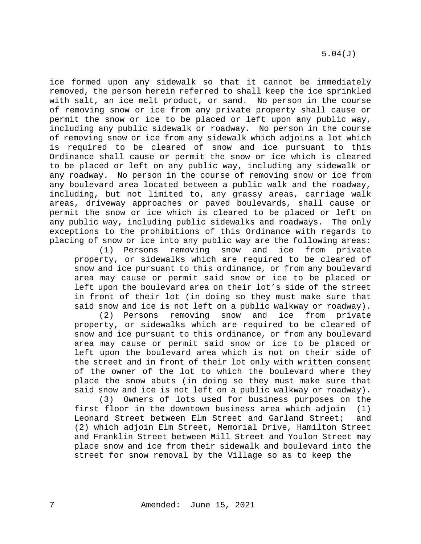ice formed upon any sidewalk so that it cannot be immediately removed, the person herein referred to shall keep the ice sprinkled with salt, an ice melt product, or sand. No person in the course of removing snow or ice from any private property shall cause or permit the snow or ice to be placed or left upon any public way, including any public sidewalk or roadway. No person in the course of removing snow or ice from any sidewalk which adjoins a lot which is required to be cleared of snow and ice pursuant to this Ordinance shall cause or permit the snow or ice which is cleared to be placed or left on any public way, including any sidewalk or any roadway. No person in the course of removing snow or ice from any boulevard area located between a public walk and the roadway, including, but not limited to, any grassy areas, carriage walk areas, driveway approaches or paved boulevards, shall cause or permit the snow or ice which is cleared to be placed or left on any public way, including public sidewalks and roadways. The only exceptions to the prohibitions of this Ordinance with regards to placing of snow or ice into any public way are the following areas:<br>(1) Persons removing snow and ice from private

Persons removing snow and ice from private property, or sidewalks which are required to be cleared of snow and ice pursuant to this ordinance, or from any boulevard area may cause or permit said snow or ice to be placed or left upon the boulevard area on their lot's side of the street in front of their lot (in doing so they must make sure that said snow and ice is not left on a public walkway or roadway).<br>(2) Persons removing snow and ice from private

Persons removing snow and ice from private property, or sidewalks which are required to be cleared of snow and ice pursuant to this ordinance, or from any boulevard area may cause or permit said snow or ice to be placed or left upon the boulevard area which is not on their side of the street and in front of their lot only with written consent of the owner of the lot to which the boulevard where they place the snow abuts (in doing so they must make sure that said snow and ice is not left on a public walkway or roadway).

(3) Owners of lots used for business purposes on the first floor in the downtown business area which adjoin (1) Leonard Street between Elm Street and Garland Street; and (2) which adjoin Elm Street, Memorial Drive, Hamilton Street and Franklin Street between Mill Street and Youlon Street may place snow and ice from their sidewalk and boulevard into the street for snow removal by the Village so as to keep the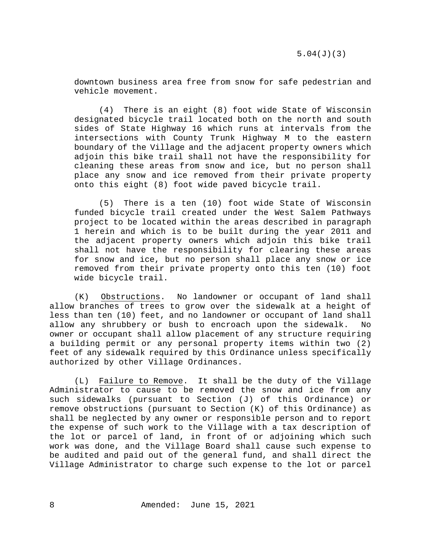downtown business area free from snow for safe pedestrian and vehicle movement.

(4) There is an eight (8) foot wide State of Wisconsin designated bicycle trail located both on the north and south sides of State Highway 16 which runs at intervals from the intersections with County Trunk Highway M to the eastern boundary of the Village and the adjacent property owners which adjoin this bike trail shall not have the responsibility for cleaning these areas from snow and ice, but no person shall place any snow and ice removed from their private property onto this eight (8) foot wide paved bicycle trail.

(5) There is a ten (10) foot wide State of Wisconsin funded bicycle trail created under the West Salem Pathways project to be located within the areas described in paragraph 1 herein and which is to be built during the year 2011 and the adjacent property owners which adjoin this bike trail shall not have the responsibility for clearing these areas for snow and ice, but no person shall place any snow or ice removed from their private property onto this ten (10) foot wide bicycle trail.

(K) Obstructions. No landowner or occupant of land shall allow branches of trees to grow over the sidewalk at a height of less than ten (10) feet, and no landowner or occupant of land shall allow any shrubbery or bush to encroach upon the sidewalk. No owner or occupant shall allow placement of any structure requiring a building permit or any personal property items within two (2) feet of any sidewalk required by this Ordinance unless specifically authorized by other Village Ordinances.

(L) Failure to Remove. It shall be the duty of the Village Administrator to cause to be removed the snow and ice from any such sidewalks (pursuant to Section (J) of this Ordinance) or remove obstructions (pursuant to Section (K) of this Ordinance) as shall be neglected by any owner or responsible person and to report the expense of such work to the Village with a tax description of the lot or parcel of land, in front of or adjoining which such work was done, and the Village Board shall cause such expense to be audited and paid out of the general fund, and shall direct the Village Administrator to charge such expense to the lot or parcel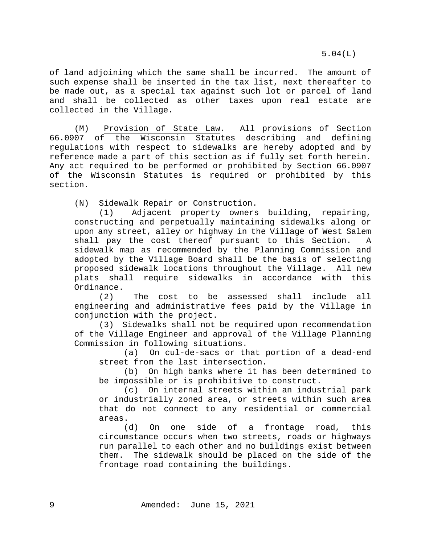5.04(L)

of land adjoining which the same shall be incurred. The amount of such expense shall be inserted in the tax list, next thereafter to be made out, as a special tax against such lot or parcel of land and shall be collected as other taxes upon real estate are collected in the Village.

(M) Provision of State Law. All provisions of Section<br>66.0907 of the Wisconsin Statutes describing and defining of the Wisconsin Statutes describing and defining regulations with respect to sidewalks are hereby adopted and by reference made a part of this section as if fully set forth herein. Any act required to be performed or prohibited by Section 66.0907 of the Wisconsin Statutes is required or prohibited by this section.

(N) Sidewalk Repair or Construction.

(1) Adjacent property owners building, repairing, constructing and perpetually maintaining sidewalks along or upon any street, alley or highway in the Village of West Salem shall pay the cost thereof pursuant to this Section. A sidewalk map as recommended by the Planning Commission and adopted by the Village Board shall be the basis of selecting proposed sidewalk locations throughout the Village. All new plats shall require sidewalks in accordance with this Ordinance.<br> $(2)$ 

The cost to be assessed shall include all engineering and administrative fees paid by the Village in conjunction with the project.

(3) Sidewalks shall not be required upon recommendation of the Village Engineer and approval of the Village Planning Commission in following situations.

(a) On cul-de-sacs or that portion of a dead-end street from the last intersection.

(b) On high banks where it has been determined to be impossible or is prohibitive to construct.

(c) On internal streets within an industrial park or industrially zoned area, or streets within such area that do not connect to any residential or commercial areas.

(d) On one side of a frontage road, this circumstance occurs when two streets, roads or highways run parallel to each other and no buildings exist between them. The sidewalk should be placed on the side of the frontage road containing the buildings.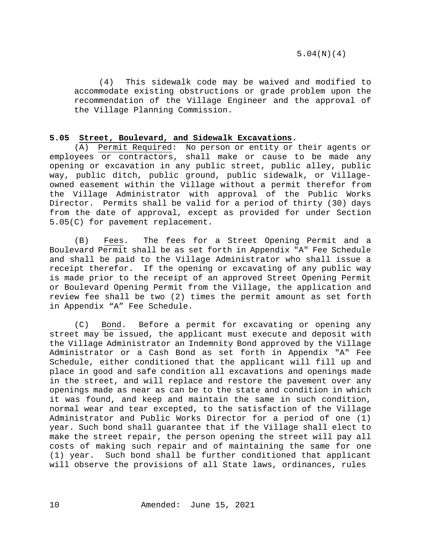5.04(N)(4)

(4) This sidewalk code may be waived and modified to accommodate existing obstructions or grade problem upon the recommendation of the Village Engineer and the approval of the Village Planning Commission.

## <span id="page-9-0"></span>**5.05 Street, Boulevard, and Sidewalk Excavations.**

(A) Permit Required: No person or entity or their agents or employees or contractors, shall make or cause to be made any opening or excavation in any public street, public alley, public way, public ditch, public ground, public sidewalk, or Villageowned easement within the Village without a permit therefor from the Village Administrator with approval of the Public Works Director. Permits shall be valid for a period of thirty (30) days from the date of approval, except as provided for under Section 5.05(C) for pavement replacement.

(B) Fees. The fees for a Street Opening Permit and a Boulevard Permit shall be as set forth in Appendix "A" Fee Schedule and shall be paid to the Village Administrator who shall issue a receipt therefor. If the opening or excavating of any public way is made prior to the receipt of an approved Street Opening Permit or Boulevard Opening Permit from the Village, the application and review fee shall be two (2) times the permit amount as set forth in Appendix "A" Fee Schedule.

(C) Bond. Before a permit for excavating or opening any street may be issued, the applicant must execute and deposit with the Village Administrator an Indemnity Bond approved by the Village Administrator or a Cash Bond as set forth in Appendix "A" Fee Schedule, either conditioned that the applicant will fill up and place in good and safe condition all excavations and openings made in the street, and will replace and restore the pavement over any openings made as near as can be to the state and condition in which it was found, and keep and maintain the same in such condition, normal wear and tear excepted, to the satisfaction of the Village Administrator and Public Works Director for a period of one (1) year. Such bond shall guarantee that if the Village shall elect to make the street repair, the person opening the street will pay all costs of making such repair and of maintaining the same for one (1) year. Such bond shall be further conditioned that applicant will observe the provisions of all State laws, ordinances, rules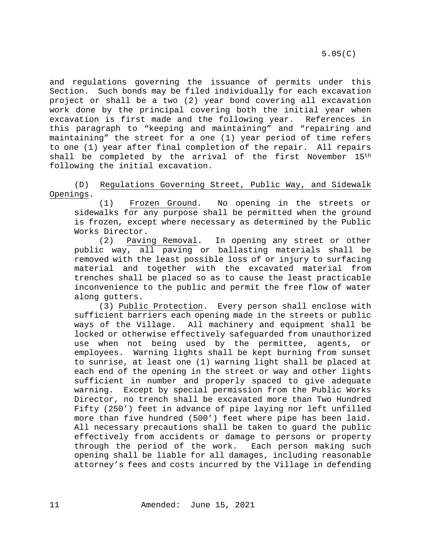5.05(C)

and regulations governing the issuance of permits under this Section. Such bonds may be filed individually for each excavation project or shall be a two (2) year bond covering all excavation work done by the principal covering both the initial year when excavation is first made and the following year. References in this paragraph to "keeping and maintaining" and "repairing and maintaining" the street for a one (1) year period of time refers to one (1) year after final completion of the repair. All repairs shall be completed by the arrival of the first November 15th following the initial excavation.

(D) Regulations Governing Street, Public Way, and Sidewalk Openings.

(1) Frozen Ground. No opening in the streets or sidewalks for any purpose shall be permitted when the ground is frozen, except where necessary as determined by the Public Works Director.

(2) Paving Removal. In opening any street or other public way, all paving or ballasting materials shall be removed with the least possible loss of or injury to surfacing material and together with the excavated material from trenches shall be placed so as to cause the least practicable inconvenience to the public and permit the free flow of water along gutters.

(3) Public Protection. Every person shall enclose with sufficient barriers each opening made in the streets or public ways of the Village. All machinery and equipment shall be locked or otherwise effectively safeguarded from unauthorized use when not being used by the permittee, agents, or employees. Warning lights shall be kept burning from sunset to sunrise, at least one (1) warning light shall be placed at each end of the opening in the street or way and other lights sufficient in number and properly spaced to give adequate warning. Except by special permission from the Public Works Director, no trench shall be excavated more than Two Hundred Fifty (250') feet in advance of pipe laying nor left unfilled more than five hundred (500') feet where pipe has been laid. All necessary precautions shall be taken to guard the public effectively from accidents or damage to persons or property<br>through the period of the work. Each person making such through the period of the work. opening shall be liable for all damages, including reasonable attorney's fees and costs incurred by the Village in defending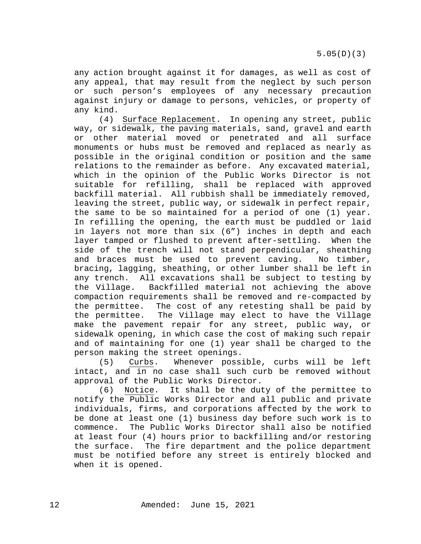any action brought against it for damages, as well as cost of any appeal, that may result from the neglect by such person or such person's employees of any necessary precaution against injury or damage to persons, vehicles, or property of any kind.

(4) Surface Replacement. In opening any street, public way, or sidewalk, the paving materials, sand, gravel and earth or other material moved or penetrated and all surface monuments or hubs must be removed and replaced as nearly as possible in the original condition or position and the same relations to the remainder as before. Any excavated material, which in the opinion of the Public Works Director is not suitable for refilling, shall be replaced with approved backfill material. All rubbish shall be immediately removed, leaving the street, public way, or sidewalk in perfect repair, the same to be so maintained for a period of one (1) year. In refilling the opening, the earth must be puddled or laid in layers not more than six (6") inches in depth and each layer tamped or flushed to prevent after-settling. When the side of the trench will not stand perpendicular, sheathing and braces must be used to prevent caving. No timber, bracing, lagging, sheathing, or other lumber shall be left in any trench. All excavations shall be subject to testing by<br>the Village. Backfilled material not achieving the above Backfilled material not achieving the above compaction requirements shall be removed and re-compacted by the permittee. The cost of any retesting shall be paid by the permittee. The Village may elect to have the Village make the pavement repair for any street, public way, or sidewalk opening, in which case the cost of making such repair and of maintaining for one (1) year shall be charged to the

person making the street openings.<br>(5) Curbs. Whenever poss Whenever possible, curbs will be left intact, and in no case shall such curb be removed without approval of the Public Works Director.

(6) Notice. It shall be the duty of the permittee to notify the Public Works Director and all public and private individuals, firms, and corporations affected by the work to be done at least one (1) business day before such work is to commence. The Public Works Director shall also be notified at least four (4) hours prior to backfilling and/or restoring the surface. The fire department and the police department must be notified before any street is entirely blocked and when it is opened.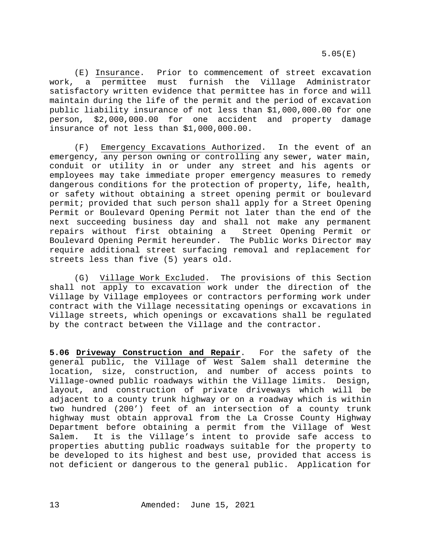(E) Insurance. Prior to commencement of street excavation work, a permittee must furnish the Village Administrator satisfactory written evidence that permittee has in force and will maintain during the life of the permit and the period of excavation public liability insurance of not less than \$1,000,000.00 for one person, \$2,000,000.00 for one accident and property damage insurance of not less than \$1,000,000.00.

(F) Emergency Excavations Authorized. In the event of an emergency, any person owning or controlling any sewer, water main, conduit or utility in or under any street and his agents or employees may take immediate proper emergency measures to remedy dangerous conditions for the protection of property, life, health, or safety without obtaining a street opening permit or boulevard permit; provided that such person shall apply for a Street Opening Permit or Boulevard Opening Permit not later than the end of the next succeeding business day and shall not make any permanent repairs without first obtaining a Street Opening Permit or Boulevard Opening Permit hereunder. The Public Works Director may require additional street surfacing removal and replacement for streets less than five (5) years old.

(G) Village Work Excluded. The provisions of this Section shall not apply to excavation work under the direction of the Village by Village employees or contractors performing work under contract with the Village necessitating openings or excavations in Village streets, which openings or excavations shall be regulated by the contract between the Village and the contractor.

<span id="page-12-0"></span>**5.06 Driveway Construction and Repair**. For the safety of the general public, the Village of West Salem shall determine the location, size, construction, and number of access points to Village-owned public roadways within the Village limits. Design, layout, and construction of private driveways which will be adjacent to a county trunk highway or on a roadway which is within two hundred (200') feet of an intersection of a county trunk highway must obtain approval from the La Crosse County Highway Department before obtaining a permit from the Village of West Salem. It is the Village's intent to provide safe access to properties abutting public roadways suitable for the property to be developed to its highest and best use, provided that access is not deficient or dangerous to the general public. Application for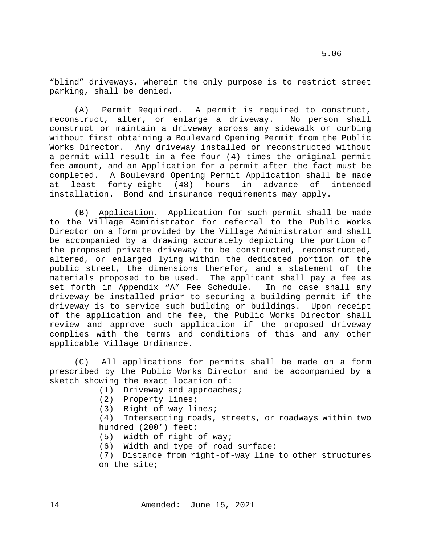"blind" driveways, wherein the only purpose is to restrict street parking, shall be denied.

(A) Permit Required. A permit is required to construct, reconstruct, alter, or enlarge a driveway. No person shall construct or maintain a driveway across any sidewalk or curbing without first obtaining a Boulevard Opening Permit from the Public Works Director. Any driveway installed or reconstructed without a permit will result in a fee four (4) times the original permit fee amount, and an Application for a permit after-the-fact must be completed. A Boulevard Opening Permit Application shall be made at least forty-eight (48) hours in advance of intended installation. Bond and insurance requirements may apply.

(B) Application. Application for such permit shall be made to the Village Administrator for referral to the Public Works Director on a form provided by the Village Administrator and shall be accompanied by a drawing accurately depicting the portion of the proposed private driveway to be constructed, reconstructed, altered, or enlarged lying within the dedicated portion of the public street, the dimensions therefor, and a statement of the materials proposed to be used. The applicant shall pay a fee as set forth in Appendix "A" Fee Schedule. In no case shall any driveway be installed prior to securing a building permit if the driveway is to service such building or buildings. Upon receipt of the application and the fee, the Public Works Director shall review and approve such application if the proposed driveway complies with the terms and conditions of this and any other applicable Village Ordinance.

(C) All applications for permits shall be made on a form prescribed by the Public Works Director and be accompanied by a sketch showing the exact location of:

- (1) Driveway and approaches;
- (2) Property lines;
- (3) Right-of-way lines;

(4) Intersecting roads, streets, or roadways within two hundred (200') feet;

- (5) Width of right-of-way;
- (6) Width and type of road surface;
- (7) Distance from right-of-way line to other structures on the site;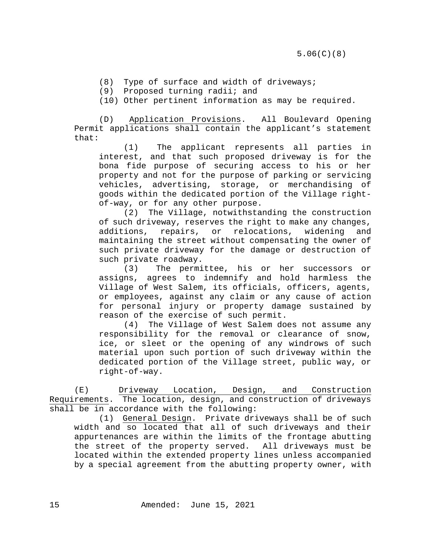- (8) Type of surface and width of driveways;
- (9) Proposed turning radii; and
- (10) Other pertinent information as may be required.

(D) Application Provisions. All Boulevard Opening Permit applications shall contain the applicant's statement that:

(1) The applicant represents all parties in interest, and that such proposed driveway is for the bona fide purpose of securing access to his or her property and not for the purpose of parking or servicing vehicles, advertising, storage, or merchandising of goods within the dedicated portion of the Village rightof-way, or for any other purpose.

(2) The Village, notwithstanding the construction of such driveway, reserves the right to make any changes, additions, repairs, or relocations, widening and maintaining the street without compensating the owner of such private driveway for the damage or destruction of such private roadway.

(3) The permittee, his or her successors or assigns, agrees to indemnify and hold harmless the Village of West Salem, its officials, officers, agents, or employees, against any claim or any cause of action for personal injury or property damage sustained by reason of the exercise of such permit.

(4) The Village of West Salem does not assume any responsibility for the removal or clearance of snow, ice, or sleet or the opening of any windrows of such material upon such portion of such driveway within the dedicated portion of the Village street, public way, or right-of-way.

(E) Driveway Location, Design, and Construction Requirements. The location, design, and construction of driveways shall be in accordance with the following:

(1) General Design. Private driveways shall be of such width and so located that all of such driveways and their appurtenances are within the limits of the frontage abutting the street of the property served. All driveways must be located within the extended property lines unless accompanied by a special agreement from the abutting property owner, with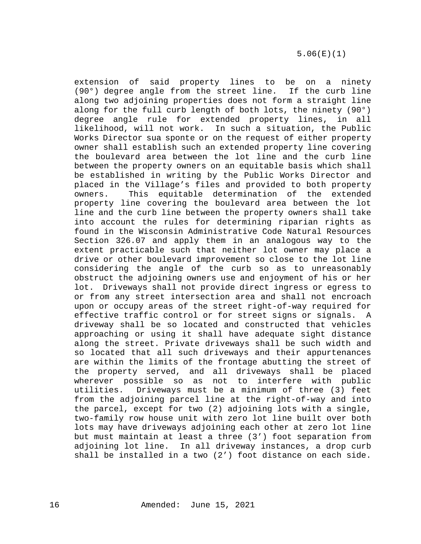extension of said property lines to be on a ninety (90°) degree angle from the street line. If the curb line along two adjoining properties does not form a straight line along for the full curb length of both lots, the ninety (90°) degree angle rule for extended property lines, in all likelihood, will not work. In such a situation, the Public Works Director sua sponte or on the request of either property owner shall establish such an extended property line covering the boulevard area between the lot line and the curb line between the property owners on an equitable basis which shall be established in writing by the Public Works Director and placed in the Village's files and provided to both property owners. This equitable determination of the extended property line covering the boulevard area between the lot line and the curb line between the property owners shall take into account the rules for determining riparian rights as found in the Wisconsin Administrative Code Natural Resources Section 326.07 and apply them in an analogous way to the extent practicable such that neither lot owner may place a drive or other boulevard improvement so close to the lot line considering the angle of the curb so as to unreasonably obstruct the adjoining owners use and enjoyment of his or her lot. Driveways shall not provide direct ingress or egress to or from any street intersection area and shall not encroach upon or occupy areas of the street right-of-way required for effective traffic control or for street signs or signals. A driveway shall be so located and constructed that vehicles approaching or using it shall have adequate sight distance along the street. Private driveways shall be such width and so located that all such driveways and their appurtenances are within the limits of the frontage abutting the street of the property served, and all driveways shall be placed<br>wherever possible so as not to interfere with public wherever possible so as not to utilities. Driveways must be a minimum of three (3) feet from the adjoining parcel line at the right-of-way and into the parcel, except for two (2) adjoining lots with a single, two-family row house unit with zero lot line built over both lots may have driveways adjoining each other at zero lot line but must maintain at least a three (3') foot separation from adjoining lot line. In all driveway instances, a drop curb shall be installed in a two (2') foot distance on each side.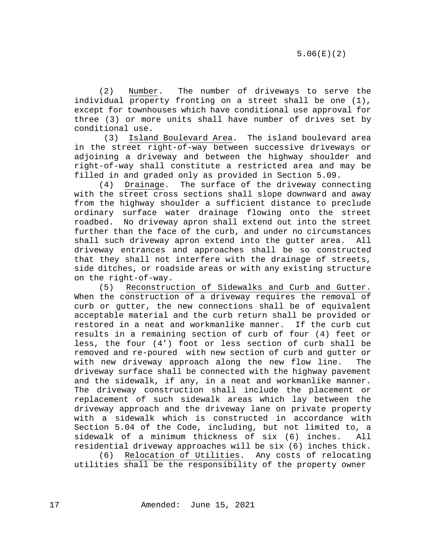(2) Number. The number of driveways to serve the individual property fronting on a street shall be one (1), except for townhouses which have conditional use approval for three (3) or more units shall have number of drives set by conditional use.

(3) Island Boulevard Area. The island boulevard area in the street right-of-way between successive driveways or adjoining a driveway and between the highway shoulder and right-of-way shall constitute a restricted area and may be filled in and graded only as provided in Section 5.09.

(4) Drainage. The surface of the driveway connecting with the street cross sections shall slope downward and away from the highway shoulder a sufficient distance to preclude ordinary surface water drainage flowing onto the street roadbed. No driveway apron shall extend out into the street further than the face of the curb, and under no circumstances shall such driveway apron extend into the gutter area. All driveway entrances and approaches shall be so constructed that they shall not interfere with the drainage of streets, side ditches, or roadside areas or with any existing structure

on the right-of-way.<br>5) Reconstruc Reconstruction of Sidewalks and Curb and Gutter. When the construction of a driveway requires the removal of curb or gutter, the new connections shall be of equivalent acceptable material and the curb return shall be provided or restored in a neat and workmanlike manner. If the curb cut results in a remaining section of curb of four (4) feet or less, the four (4') foot or less section of curb shall be removed and re-poured with new section of curb and gutter or with new driveway approach along the new flow line. The driveway surface shall be connected with the highway pavement and the sidewalk, if any, in a neat and workmanlike manner. The driveway construction shall include the placement or replacement of such sidewalk areas which lay between the driveway approach and the driveway lane on private property with a sidewalk which is constructed in accordance with Section 5.04 of the Code, including, but not limited to, a sidewalk of a minimum thickness of six (6) inches. All residential driveway approaches will be six (6) inches thick.

(6) Relocation of Utilities. Any costs of relocating utilities shall be the responsibility of the property owner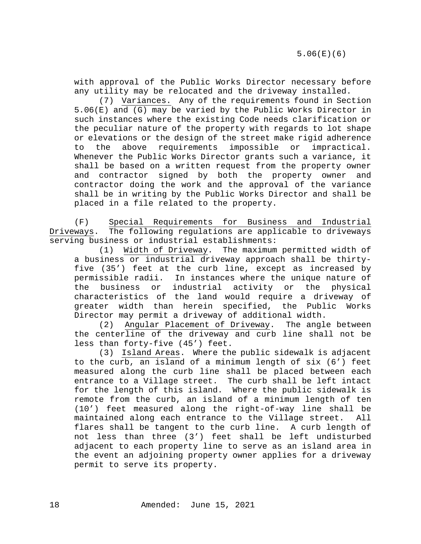with approval of the Public Works Director necessary before any utility may be relocated and the driveway installed.

(7) Variances. Any of the requirements found in Section 5.06(E) and (G) may be varied by the Public Works Director in such instances where the existing Code needs clarification or the peculiar nature of the property with regards to lot shape or elevations or the design of the street make rigid adherence<br>to the above requirements impossible or impractical. the above requirements Whenever the Public Works Director grants such a variance, it shall be based on a written request from the property owner and contractor signed by both the property owner and contractor doing the work and the approval of the variance shall be in writing by the Public Works Director and shall be placed in a file related to the property.

(F) Special Requirements for Business and Industrial<br>Driveways. The following regulations are applicable to driveways The following regulations are applicable to driveways serving business or industrial establishments:<br>(1) Width of Driveway. The maximum

The maximum permitted width of a business or industrial driveway approach shall be thirtyfive (35') feet at the curb line, except as increased by permissible radii. In instances where the unique nature of<br>the business or industrial activity or the physical industrial activity or the physical characteristics of the land would require a driveway of greater width than herein specified, the Public Works Director may permit a driveway of additional width.

(2) Angular Placement of Driveway. The angle between the centerline of the driveway and curb line shall not be less than forty-five (45') feet.

(3) Island Areas. Where the public sidewalk is adjacent to the curb, an island of a minimum length of six (6') feet measured along the curb line shall be placed between each entrance to a Village street. The curb shall be left intact for the length of this island. Where the public sidewalk is remote from the curb, an island of a minimum length of ten (10') feet measured along the right-of-way line shall be<br>maintained along each entrance to the Village street. All maintained along each entrance to the Village street. flares shall be tangent to the curb line. A curb length of not less than three (3') feet shall be left undisturbed adjacent to each property line to serve as an island area in the event an adjoining property owner applies for a driveway permit to serve its property.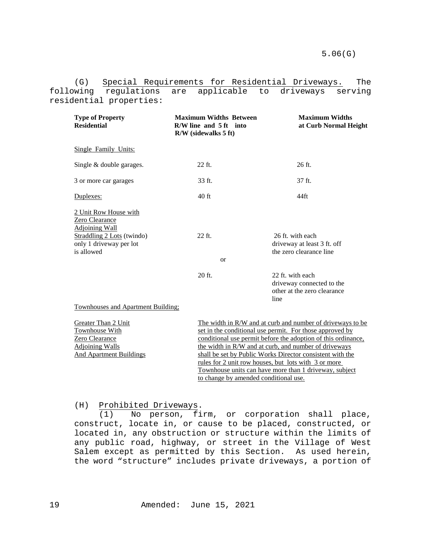(G) Special Requirements for Residential Driveways. The following regulations are applicable to driveways serving residential properties:

| <b>Type of Property</b><br><b>Residential</b>                                                                                           | <b>Maximum Widths Between</b><br>$R/W$ line and $5 ft$ into<br>R/W (sidewalks 5 ft) | <b>Maximum Widths</b><br>at Curb Normal Height                                       |
|-----------------------------------------------------------------------------------------------------------------------------------------|-------------------------------------------------------------------------------------|--------------------------------------------------------------------------------------|
| <b>Single Family Units:</b>                                                                                                             |                                                                                     |                                                                                      |
| Single & double garages.                                                                                                                | $22$ ft.                                                                            | 26 ft.                                                                               |
| 3 or more car garages                                                                                                                   | 33 ft.                                                                              | 37 ft.                                                                               |
| Duplexes:                                                                                                                               | $40$ ft                                                                             | 44ft                                                                                 |
| 2 Unit Row House with<br>Zero Clearance<br><b>Adjoining Wall</b><br>Straddling 2 Lots (twindo)<br>only 1 driveway per lot<br>is allowed | 22 ft.<br><sub>or</sub>                                                             | 26 ft. with each<br>driveway at least 3 ft. off<br>the zero clearance line           |
| <b>Townhouses and Apartment Building:</b>                                                                                               | 20 ft.                                                                              | 22 ft. with each<br>driveway connected to the<br>other at the zero clearance<br>line |

| Greater Than 2 Unit     | The width in R/W and at curb and number of driveways to be    |  |
|-------------------------|---------------------------------------------------------------|--|
| Townhouse With          | set in the conditional use permit. For those approved by      |  |
| Zero Clearance          | conditional use permit before the adoption of this ordinance, |  |
| <b>Adjoining Walls</b>  | the width in R/W and at curb, and number of driveways         |  |
| And Apartment Buildings | shall be set by Public Works Director consistent with the     |  |
|                         | rules for 2 unit row houses, but lots with 3 or more          |  |
|                         | Townhouse units can have more than 1 driveway, subject        |  |
|                         | to change by amended conditional use.                         |  |

### (H) Prohibited Driveways.

(1) No person, firm, or corporation shall place, construct, locate in, or cause to be placed, constructed, or located in, any obstruction or structure within the limits of any public road, highway, or street in the Village of West Salem except as permitted by this Section. As used herein, the word "structure" includes private driveways, a portion of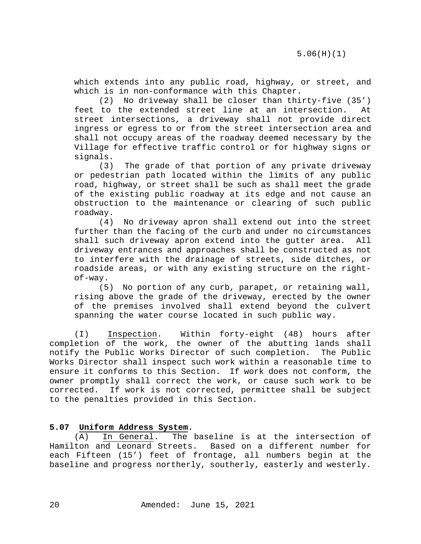which extends into any public road, highway, or street, and which is in non-conformance with this Chapter.

(2) No driveway shall be closer than thirty-five (35') feet to the extended street line at an intersection. At street intersections, a driveway shall not provide direct ingress or egress to or from the street intersection area and shall not occupy areas of the roadway deemed necessary by the Village for effective traffic control or for highway signs or signals.<br>(3)

The grade of that portion of any private driveway or pedestrian path located within the limits of any public road, highway, or street shall be such as shall meet the grade of the existing public roadway at its edge and not cause an obstruction to the maintenance or clearing of such public roadway.<br> $(4)$ 

No driveway apron shall extend out into the street further than the facing of the curb and under no circumstances<br>shall such driveway apron extend into the gutter area. All shall such driveway apron extend into the gutter area. driveway entrances and approaches shall be constructed as not to interfere with the drainage of streets, side ditches, or roadside areas, or with any existing structure on the rightof-way.

(5) No portion of any curb, parapet, or retaining wall, rising above the grade of the driveway, erected by the owner of the premises involved shall extend beyond the culvert spanning the water course located in such public way.

(I) Inspection. Within forty-eight (48) hours after completion of the work, the owner of the abutting lands shall<br>notify the Public Works Director of such completion. The Public notify the Public Works Director of such completion. Works Director shall inspect such work within a reasonable time to ensure it conforms to this Section. If work does not conform, the owner promptly shall correct the work, or cause such work to be corrected. If work is not corrected, permittee shall be subject to the penalties provided in this Section.

# <span id="page-19-0"></span>**5.07 Uniform Address System.**

(A) In General. The baseline is at the intersection of Hamilton and Leonard Streets. Based on a different number for Based on a different number for each Fifteen (15') feet of frontage, all numbers begin at the baseline and progress northerly, southerly, easterly and westerly.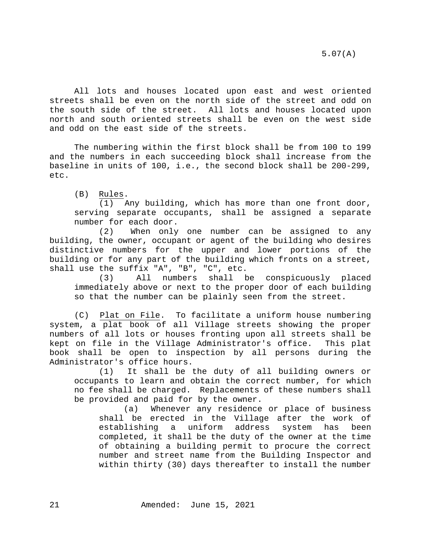5.07(A)

All lots and houses located upon east and west oriented streets shall be even on the north side of the street and odd on the south side of the street. All lots and houses located upon north and south oriented streets shall be even on the west side and odd on the east side of the streets.

The numbering within the first block shall be from 100 to 199 and the numbers in each succeeding block shall increase from the baseline in units of 100, i.e., the second block shall be 200-299, etc.

(B) Rules.

(1) Any building, which has more than one front door, serving separate occupants, shall be assigned a separate number for each door.<br>(2) When only

When only one number can be assigned to any building, the owner, occupant or agent of the building who desires distinctive numbers for the upper and lower portions of the building or for any part of the building which fronts on a street, shall use the suffix "A", "B", "C", etc.

(3) All numbers shall be conspicuously placed immediately above or next to the proper door of each building so that the number can be plainly seen from the street.

(C) Plat on File. To facilitate a uniform house numbering system, a plat book of all Village streets showing the proper numbers of all lots or houses fronting upon all streets shall be kept on file in the Village Administrator's office. This plat book shall be open to inspection by all persons during the Administrator's office hours.

(1) It shall be the duty of all building owners or occupants to learn and obtain the correct number, for which no fee shall be charged. Replacements of these numbers shall be provided and paid for by the owner.

(a) Whenever any residence or place of business shall be erected in the Village after the work of<br>establishing a uniform address system has been system has been completed, it shall be the duty of the owner at the time of obtaining a building permit to procure the correct number and street name from the Building Inspector and within thirty (30) days thereafter to install the number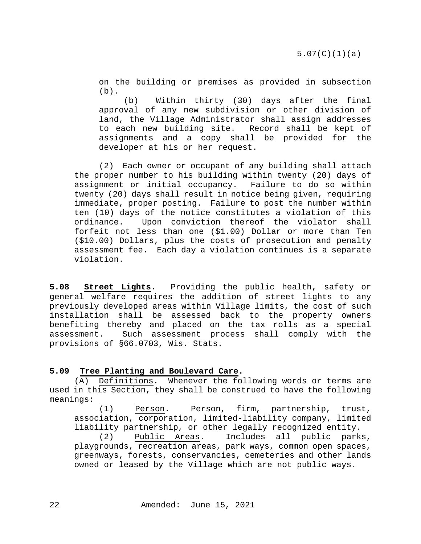on the building or premises as provided in subsection  $(b)$ .

(b) Within thirty (30) days after the final approval of any new subdivision or other division of land, the Village Administrator shall assign addresses to each new building site. Record shall be kept of assignments and a copy shall be provided for the developer at his or her request.

(2) Each owner or occupant of any building shall attach the proper number to his building within twenty (20) days of<br>assignment or initial occupancy. Failure to do so within assignment or initial occupancy. twenty (20) days shall result in notice being given, requiring immediate, proper posting. Failure to post the number within ten (10) days of the notice constitutes a violation of this ordinance. Upon conviction thereof the violator shall forfeit not less than one (\$1.00) Dollar or more than Ten (\$10.00) Dollars, plus the costs of prosecution and penalty assessment fee. Each day a violation continues is a separate violation.

<span id="page-21-0"></span>**5.08 Street Lights.** Providing the public health, safety or general welfare requires the addition of street lights to any previously developed areas within Village limits, the cost of such installation shall be assessed back to the property owners benefiting thereby and placed on the tax rolls as a special assessment. Such assessment process shall comply with the provisions of §66.0703, Wis. Stats.

#### <span id="page-21-1"></span>**5.09 Tree Planting and Boulevard Care.**

(A) Definitions. Whenever the following words or terms are used in this Section, they shall be construed to have the following meanings:

(1) Person. Person, firm, partnership, trust, association, corporation, limited-liability company, limited liability partnership, or other legally recognized entity.

(2) Public Areas. Includes all public parks, playgrounds, recreation areas, park ways, common open spaces, greenways, forests, conservancies, cemeteries and other lands owned or leased by the Village which are not public ways.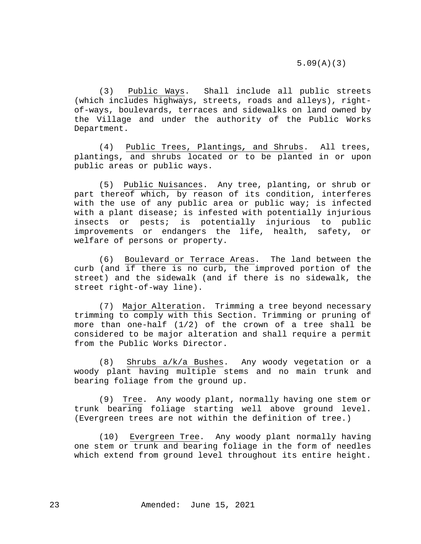(3) Public Ways. Shall include all public streets (which includes highways, streets, roads and alleys), rightof-ways, boulevards, terraces and sidewalks on land owned by the Village and under the authority of the Public Works Department.

(4) Public Trees, Plantings*,* and Shrubs. All trees, plantings, and shrubs located or to be planted in or upon public areas or public ways.

(5) Public Nuisances. Any tree, planting, or shrub or part thereof which, by reason of its condition, interferes with the use of any public area or public way; is infected with a plant disease; is infested with potentially injurious insects or pests; is potentially injurious to public improvements or endangers the life, health, safety, or welfare of persons or property.

(6) Boulevard or Terrace Areas. The land between the curb (and if there is no curb, the improved portion of the street) and the sidewalk (and if there is no sidewalk, the street right-of-way line).

(7) Major Alteration. Trimming a tree beyond necessary trimming to comply with this Section. Trimming or pruning of more than one-half (1/2) of the crown of a tree shall be considered to be major alteration and shall require a permit from the Public Works Director.

(8) Shrubs a/k/a Bushes. Any woody vegetation or a woody plant having multiple stems and no main trunk and bearing foliage from the ground up.

(9) Tree. Any woody plant, normally having one stem or trunk bearing foliage starting well above ground level. (Evergreen trees are not within the definition of tree.)

(10) Evergreen Tree. Any woody plant normally having one stem or trunk and bearing foliage in the form of needles which extend from ground level throughout its entire height.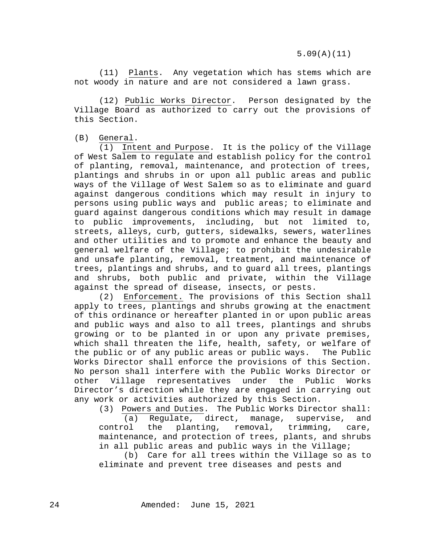(11) Plants. Any vegetation which has stems which are not woody in nature and are not considered a lawn grass.

(12) Public Works Director. Person designated by the Village Board as authorized to carry out the provisions of this Section.

(B) General.

(1) Intent and Purpose. It is the policy of the Village of West Salem to regulate and establish policy for the control of planting, removal, maintenance, and protection of trees, plantings and shrubs in or upon all public areas and public ways of the Village of West Salem so as to eliminate and guard against dangerous conditions which may result in injury to persons using public ways and public areas; to eliminate and guard against dangerous conditions which may result in damage to public improvements, including, but not limited to, streets, alleys, curb, gutters, sidewalks, sewers, waterlines and other utilities and to promote and enhance the beauty and general welfare of the Village; to prohibit the undesirable and unsafe planting, removal, treatment, and maintenance of trees, plantings and shrubs, and to guard all trees, plantings and shrubs, both public and private, within the Village against the spread of disease, insects, or pests.

(2) Enforcement. The provisions of this Section shall apply to trees, plantings and shrubs growing at the enactment of this ordinance or hereafter planted in or upon public areas and public ways and also to all trees, plantings and shrubs growing or to be planted in or upon any private premises, which shall threaten the life, health, safety, or welfare of the public or of any public areas or public ways. The Public Works Director shall enforce the provisions of this Section. No person shall interfere with the Public Works Director or<br>other Village representatives under the Public Works other Village representatives under Director's direction while they are engaged in carrying out any work or activities authorized by this Section.

(3) Powers and Duties. The Public Works Director shall:

(a) Regulate, direct, manage, supervise, and<br>control the planting, removal, trimming, care, the planting, removal, trimming, care, maintenance, and protection of trees, plants, and shrubs in all public areas and public ways in the Village;

(b) Care for all trees within the Village so as to eliminate and prevent tree diseases and pests and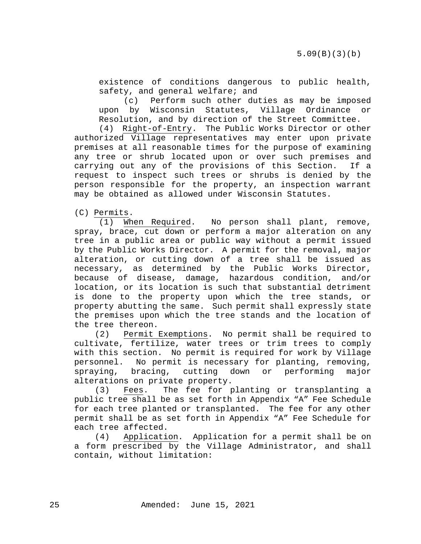existence of conditions dangerous to public health, safety, and general welfare; and

(c) Perform such other duties as may be imposed upon by Wisconsin Statutes, Village Ordinance or Resolution, and by direction of the Street Committee.

(4) Right-of-Entry. The Public Works Director or other authorized Village representatives may enter upon private premises at all reasonable times for the purpose of examining any tree or shrub located upon or over such premises and carrying out any of the provisions of this Section. If a request to inspect such trees or shrubs is denied by the person responsible for the property, an inspection warrant may be obtained as allowed under Wisconsin Statutes.

(C) Permits.

(1) When Required. No person shall plant, remove, spray, brace, cut down or perform a major alteration on any tree in a public area or public way without a permit issued by the Public Works Director. A permit for the removal, major alteration, or cutting down of a tree shall be issued as necessary, as determined by the Public Works Director, because of disease, damage, hazardous condition, and/or location, or its location is such that substantial detriment is done to the property upon which the tree stands, or property abutting the same. Such permit shall expressly state the premises upon which the tree stands and the location of the tree thereon.

(2) Permit Exemptions. No permit shall be required to cultivate, fertilize, water trees or trim trees to comply with this section. No permit is required for work by Village personnel. No permit is necessary for planting, removing,<br>spraying, bracing, cutting down or performing major spraying, bracing, cutting down or performing major alterations on private property.

(3) Fees. The fee for planting or transplanting a public tree shall be as set forth in Appendix "A" Fee Schedule for each tree planted or transplanted. The fee for any other permit shall be as set forth in Appendix "A" Fee Schedule for each tree affected.

(4) Application. Application for a permit shall be on a form prescribed by the Village Administrator, and shall contain, without limitation: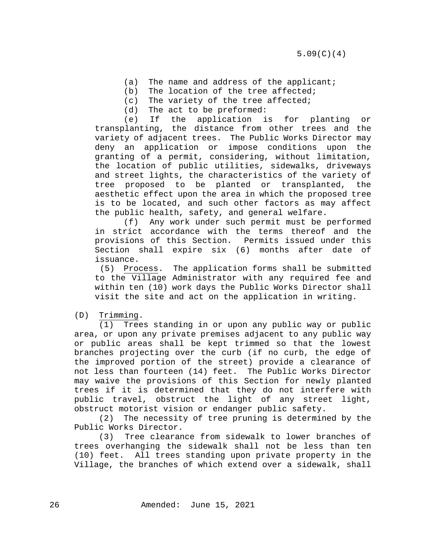- (a) The name and address of the applicant;
- (b) The location of the tree affected;
- (c) The variety of the tree affected;
- (d) The act to be preformed:

(e) If the application is for planting or transplanting, the distance from other trees and the variety of adjacent trees. The Public Works Director may deny an application or impose conditions upon the granting of a permit, considering, without limitation, the location of public utilities, sidewalks, driveways and street lights, the characteristics of the variety of tree proposed to be planted or transplanted, the aesthetic effect upon the area in which the proposed tree is to be located, and such other factors as may affect the public health, safety, and general welfare.

(f) Any work under such permit must be performed in strict accordance with the terms thereof and the provisions of this Section. Permits issued under this Section shall expire six (6) months after date of issuance.

(5) Process. The application forms shall be submitted to the Village Administrator with any required fee and within ten (10) work days the Public Works Director shall visit the site and act on the application in writing.

(D) Trimming.

 (1) Trees standing in or upon any public way or public area, or upon any private premises adjacent to any public way or public areas shall be kept trimmed so that the lowest branches projecting over the curb (if no curb, the edge of the improved portion of the street) provide a clearance of not less than fourteen (14) feet. The Public Works Director may waive the provisions of this Section for newly planted trees if it is determined that they do not interfere with public travel, obstruct the light of any street light, obstruct motorist vision or endanger public safety.

(2) The necessity of tree pruning is determined by the Public Works Director.

(3) Tree clearance from sidewalk to lower branches of trees overhanging the sidewalk shall not be less than ten (10) feet. All trees standing upon private property in the Village, the branches of which extend over a sidewalk, shall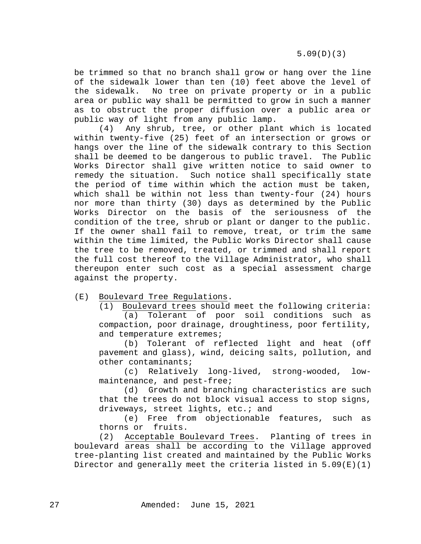5.09(D)(3)

be trimmed so that no branch shall grow or hang over the line of the sidewalk lower than ten (10) feet above the level of<br>the sidewalk. No tree on private property or in a public No tree on private property or in a public area or public way shall be permitted to grow in such a manner as to obstruct the proper diffusion over a public area or public way of light from any public lamp.

(4) Any shrub, tree, or other plant which is located within twenty-five (25) feet of an intersection or grows or hangs over the line of the sidewalk contrary to this Section shall be deemed to be dangerous to public travel. The Public Works Director shall give written notice to said owner to remedy the situation. Such notice shall specifically state the period of time within which the action must be taken, which shall be within not less than twenty-four (24) hours nor more than thirty (30) days as determined by the Public Works Director on the basis of the seriousness of the condition of the tree, shrub or plant or danger to the public. If the owner shall fail to remove, treat, or trim the same within the time limited, the Public Works Director shall cause the tree to be removed, treated, or trimmed and shall report the full cost thereof to the Village Administrator, who shall thereupon enter such cost as a special assessment charge against the property.

(E) Boulevard Tree Regulations.

(1) Boulevard trees should meet the following criteria: (a) Tolerant of poor soil conditions such as compaction, poor drainage, droughtiness, poor fertility, and temperature extremes;

(b) Tolerant of reflected light and heat (off pavement and glass), wind, deicing salts, pollution, and other contaminants;

(c) Relatively long-lived, strong-wooded, lowmaintenance, and pest-free;

(d) Growth and branching characteristics are such that the trees do not block visual access to stop signs, driveways, street lights, etc.; and

(e) Free from objectionable features, such as thorns or fruits.

(2) Acceptable Boulevard Trees. Planting of trees in boulevard areas shall be according to the Village approved tree-planting list created and maintained by the Public Works Director and generally meet the criteria listed in 5.09(E)(1)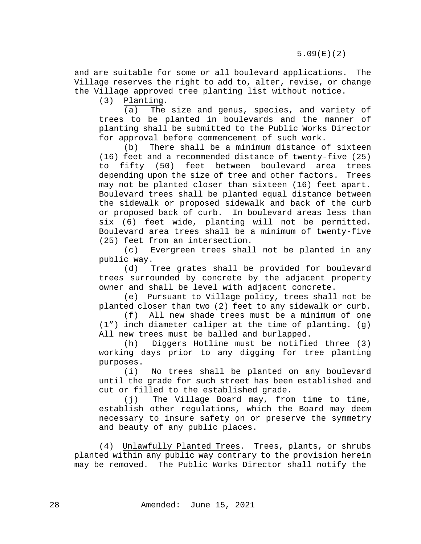and are suitable for some or all boulevard applications. The Village reserves the right to add to, alter, revise, or change the Village approved tree planting list without notice.

(3) Planting.

(a) The size and genus, species, and variety of trees to be planted in boulevards and the manner of planting shall be submitted to the Public Works Director for approval before commencement of such work.<br>(b) There shall be a minimum distance o

There shall be a minimum distance of sixteen (16) feet and a recommended distance of twenty-five (25) to fifty (50) feet between boulevard area trees depending upon the size of tree and other factors. Trees may not be planted closer than sixteen (16) feet apart. Boulevard trees shall be planted equal distance between the sidewalk or proposed sidewalk and back of the curb or proposed back of curb. In boulevard areas less than six (6) feet wide, planting will not be permitted. Boulevard area trees shall be a minimum of twenty-five

(25) feet from an intersection.<br>(c) Evergreen trees shall Evergreen trees shall not be planted in any public way.

(d) Tree grates shall be provided for boulevard trees surrounded by concrete by the adjacent property owner and shall be level with adjacent concrete.

(e) Pursuant to Village policy, trees shall not be planted closer than two (2) feet to any sidewalk or curb.

(f) All new shade trees must be a minimum of one  $(1")$  inch diameter caliper at the time of planting.  $(q)$ All new trees must be balled and burlapped.

(h) Diggers Hotline must be notified three (3) working days prior to any digging for tree planting purposes.

(i) No trees shall be planted on any boulevard until the grade for such street has been established and cut or filled to the established grade.

(j) The Village Board may, from time to time, establish other regulations, which the Board may deem necessary to insure safety on or preserve the symmetry and beauty of any public places.

(4) Unlawfully Planted Trees. Trees, plants, or shrubs planted within any public way contrary to the provision herein may be removed. The Public Works Director shall notify the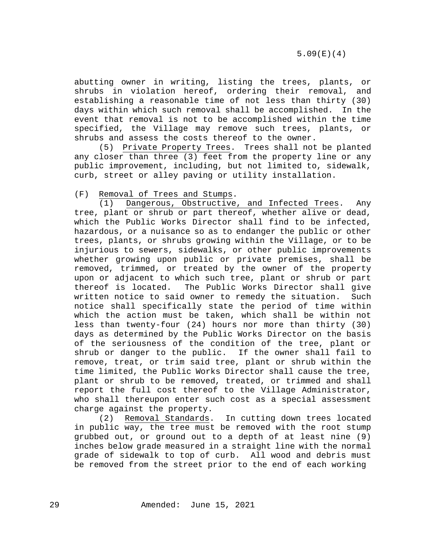abutting owner in writing, listing the trees, plants, or shrubs in violation hereof, ordering their removal, and establishing a reasonable time of not less than thirty (30) days within which such removal shall be accomplished. In the event that removal is not to be accomplished within the time specified, the Village may remove such trees, plants, or shrubs and assess the costs thereof to the owner.

 (5) Private Property Trees. Trees shall not be planted any closer than three (3) feet from the property line or any public improvement, including, but not limited to, sidewalk, curb, street or alley paving or utility installation.

## (F) Removal of Trees and Stumps.

(1) Dangerous, Obstructive, and Infected Trees. Any tree, plant or shrub or part thereof, whether alive or dead, which the Public Works Director shall find to be infected, hazardous, or a nuisance so as to endanger the public or other trees, plants, or shrubs growing within the Village, or to be injurious to sewers, sidewalks, or other public improvements whether growing upon public or private premises, shall be removed, trimmed, or treated by the owner of the property upon or adjacent to which such tree, plant or shrub or part<br>thereof is located. The Public Works Director shall give The Public Works Director shall give written notice to said owner to remedy the situation. Such notice shall specifically state the period of time within which the action must be taken, which shall be within not less than twenty-four (24) hours nor more than thirty (30) days as determined by the Public Works Director on the basis of the seriousness of the condition of the tree, plant or shrub or danger to the public. If the owner shall fail to remove, treat, or trim said tree, plant or shrub within the time limited, the Public Works Director shall cause the tree, plant or shrub to be removed, treated, or trimmed and shall report the full cost thereof to the Village Administrator, who shall thereupon enter such cost as a special assessment charge against the property.

(2) Removal Standards. In cutting down trees located in public way, the tree must be removed with the root stump grubbed out, or ground out to a depth of at least nine (9) inches below grade measured in a straight line with the normal grade of sidewalk to top of curb. All wood and debris must be removed from the street prior to the end of each working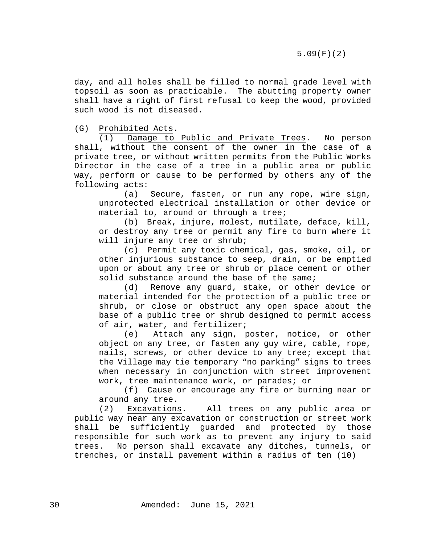day, and all holes shall be filled to normal grade level with topsoil as soon as practicable. The abutting property owner shall have a right of first refusal to keep the wood, provided such wood is not diseased.

(G) Prohibited Acts.

(1) Damage to Public and Private Trees. No person shall, without the consent of the owner in the case of a private tree, or without written permits from the Public Works Director in the case of a tree in a public area or public way, perform or cause to be performed by others any of the following acts:

(a) Secure, fasten, or run any rope, wire sign, unprotected electrical installation or other device or material to, around or through a tree;

(b) Break, injure, molest, mutilate, deface, kill, or destroy any tree or permit any fire to burn where it will injure any tree or shrub;

(c) Permit any toxic chemical, gas, smoke, oil, or other injurious substance to seep, drain, or be emptied upon or about any tree or shrub or place cement or other solid substance around the base of the same;<br>(d) Remove any quard, stake, or other

Remove any quard, stake, or other device or material intended for the protection of a public tree or shrub, or close or obstruct any open space about the base of a public tree or shrub designed to permit access of air, water, and fertilizer;

(e) Attach any sign, poster, notice, or other object on any tree, or fasten any guy wire, cable, rope, nails, screws, or other device to any tree; except that the Village may tie temporary "no parking" signs to trees when necessary in conjunction with street improvement work, tree maintenance work, or parades; or

(f) Cause or encourage any fire or burning near or

around any tree.<br>(2) Excavations Excavations. All trees on any public area or public way near any excavation or construction or street work shall be sufficiently guarded and protected by those responsible for such work as to prevent any injury to said trees. No person shall excavate any ditches, tunnels, or trenches, or install pavement within a radius of ten (10)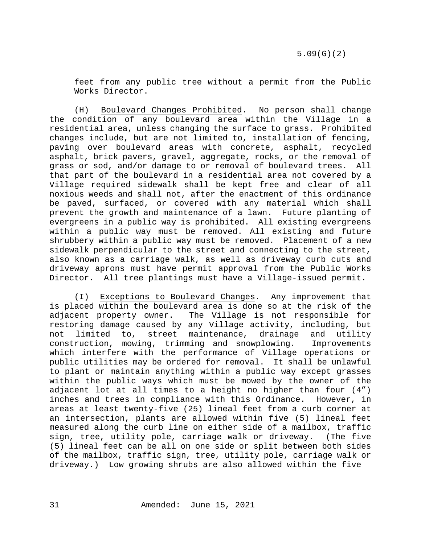feet from any public tree without a permit from the Public Works Director.

(H) Boulevard Changes Prohibited. No person shall change the condition of any boulevard area within the Village in a residential area, unless changing the surface to grass. Prohibited changes include, but are not limited to, installation of fencing, paving over boulevard areas with concrete, asphalt, recycled asphalt, brick pavers, gravel, aggregate, rocks, or the removal of grass or sod, and/or damage to or removal of boulevard trees. All that part of the boulevard in a residential area not covered by a Village required sidewalk shall be kept free and clear of all noxious weeds and shall not, after the enactment of this ordinance be paved, surfaced, or covered with any material which shall prevent the growth and maintenance of a lawn. Future planting of evergreens in a public way is prohibited. All existing evergreens within a public way must be removed. All existing and future shrubbery within a public way must be removed. Placement of a new sidewalk perpendicular to the street and connecting to the street, also known as a carriage walk, as well as driveway curb cuts and driveway aprons must have permit approval from the Public Works Director. All tree plantings must have a Village-issued permit.

(I) Exceptions to Boulevard Changes. Any improvement that is placed within the boulevard area is done so at the risk of the<br>adjacent property owner. The Village is not responsible for The Village is not responsible for restoring damage caused by any Village activity, including, but<br>not limited to, street maintenance, drainage and utility not limited to, street maintenance, drainage and utility construction, mowing, trimming and snowplowing. Improvements which interfere with the performance of Village operations or public utilities may be ordered for removal. It shall be unlawful to plant or maintain anything within a public way except grasses within the public ways which must be mowed by the owner of the adjacent lot at all times to a height no higher than four (4") inches and trees in compliance with this Ordinance. However, in areas at least twenty-five (25) lineal feet from a curb corner at an intersection, plants are allowed within five (5) lineal feet measured along the curb line on either side of a mailbox, traffic sign, tree, utility pole, carriage walk or driveway. (The five (5) lineal feet can be all on one side or split between both sides of the mailbox, traffic sign, tree, utility pole, carriage walk or driveway.) Low growing shrubs are also allowed within the five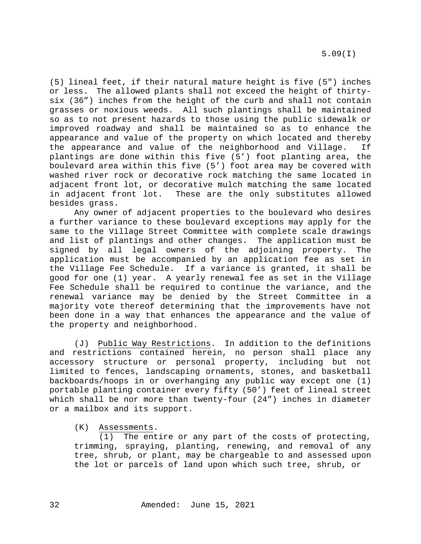5.09(I)

(5) lineal feet, if their natural mature height is five (5") inches or less. The allowed plants shall not exceed the height of thirtysix (36") inches from the height of the curb and shall not contain grasses or noxious weeds. All such plantings shall be maintained so as to not present hazards to those using the public sidewalk or improved roadway and shall be maintained so as to enhance the appearance and value of the property on which located and thereby<br>the appearance and value of the neighborhood and Village. If the appearance and value of the neighborhood and Village. plantings are done within this five (5') foot planting area, the boulevard area within this five (5') foot area may be covered with washed river rock or decorative rock matching the same located in adjacent front lot, or decorative mulch matching the same located in adjacent front lot. These are the only substitutes allowed besides grass.

Any owner of adjacent properties to the boulevard who desires a further variance to these boulevard exceptions may apply for the same to the Village Street Committee with complete scale drawings and list of plantings and other changes. The application must be signed by all legal owners of the adjoining property. The application must be accompanied by an application fee as set in the Village Fee Schedule. If a variance is granted, it shall be good for one (1) year. A yearly renewal fee as set in the Village Fee Schedule shall be required to continue the variance, and the renewal variance may be denied by the Street Committee in a majority vote thereof determining that the improvements have not been done in a way that enhances the appearance and the value of the property and neighborhood.

(J) Public Way Restrictions. In addition to the definitions and restrictions contained herein, no person shall place any accessory structure or personal property, including but not limited to fences, landscaping ornaments, stones, and basketball backboards/hoops in or overhanging any public way except one (1) portable planting container every fifty (50') feet of lineal street which shall be nor more than twenty-four (24") inches in diameter or a mailbox and its support.

(K) Assessments.

(1) The entire or any part of the costs of protecting, trimming, spraying, planting, renewing, and removal of any tree, shrub, or plant, may be chargeable to and assessed upon the lot or parcels of land upon which such tree, shrub, or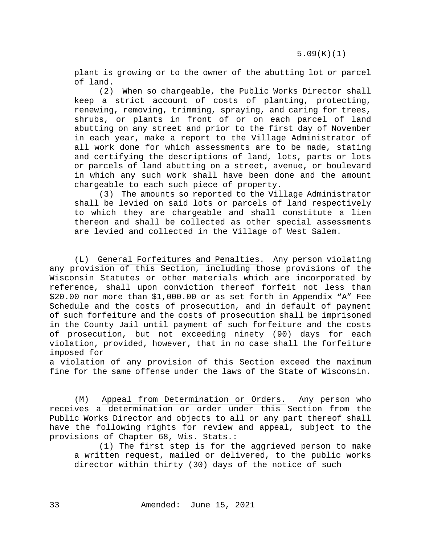plant is growing or to the owner of the abutting lot or parcel of land.

(2) When so chargeable, the Public Works Director shall keep a strict account of costs of planting, protecting, renewing, removing, trimming, spraying, and caring for trees, shrubs, or plants in front of or on each parcel of land abutting on any street and prior to the first day of November in each year, make a report to the Village Administrator of all work done for which assessments are to be made, stating and certifying the descriptions of land, lots, parts or lots or parcels of land abutting on a street, avenue, or boulevard in which any such work shall have been done and the amount chargeable to each such piece of property.

(3) The amounts so reported to the Village Administrator shall be levied on said lots or parcels of land respectively to which they are chargeable and shall constitute a lien thereon and shall be collected as other special assessments are levied and collected in the Village of West Salem.

(L) General Forfeitures and Penalties. Any person violating any provision of this Section, including those provisions of the Wisconsin Statutes or other materials which are incorporated by reference, shall upon conviction thereof forfeit not less than \$20.00 nor more than \$1,000.00 or as set forth in Appendix "A" Fee Schedule and the costs of prosecution, and in default of payment of such forfeiture and the costs of prosecution shall be imprisoned in the County Jail until payment of such forfeiture and the costs of prosecution, but not exceeding ninety (90) days for each violation, provided, however, that in no case shall the forfeiture imposed for

a violation of any provision of this Section exceed the maximum fine for the same offense under the laws of the State of Wisconsin.

(M) Appeal from Determination or Orders. Any person who receives a determination or order under this Section from the Public Works Director and objects to all or any part thereof shall have the following rights for review and appeal, subject to the provisions of Chapter 68, Wis. Stats.:

(1) The first step is for the aggrieved person to make a written request, mailed or delivered, to the public works director within thirty (30) days of the notice of such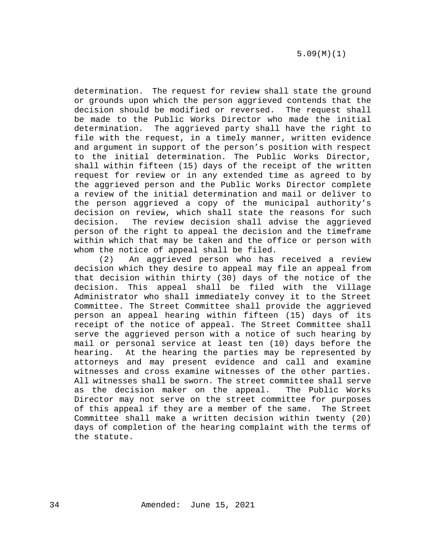determination. The request for review shall state the ground or grounds upon which the person aggrieved contends that the decision should be modified or reversed. The request shall be made to the Public Works Director who made the initial determination. The aggrieved party shall have the right to file with the request, in a timely manner, written evidence and argument in support of the person's position with respect to the initial determination. The Public Works Director, shall within fifteen (15) days of the receipt of the written request for review or in any extended time as agreed to by the aggrieved person and the Public Works Director complete a review of the initial determination and mail or deliver to the person aggrieved a copy of the municipal authority's decision on review, which shall state the reasons for such<br>decision. The review decision shall advise the aggrieved The review decision shall advise the aggrieved person of the right to appeal the decision and the timeframe within which that may be taken and the office or person with whom the notice of appeal shall be filed.

(2) An aggrieved person who has received a review decision which they desire to appeal may file an appeal from that decision within thirty (30) days of the notice of the decision. This appeal shall be filed with the Village Administrator who shall immediately convey it to the Street Committee. The Street Committee shall provide the aggrieved person an appeal hearing within fifteen (15) days of its receipt of the notice of appeal. The Street Committee shall serve the aggrieved person with a notice of such hearing by mail or personal service at least ten (10) days before the hearing. At the hearing the parties may be represented by attorneys and may present evidence and call and examine witnesses and cross examine witnesses of the other parties. All witnesses shall be sworn. The street committee shall serve<br>as the decision maker on the appeal. The Public Works as the decision maker on the appeal. Director may not serve on the street committee for purposes of this appeal if they are a member of the same. The Street Committee shall make a written decision within twenty (20) days of completion of the hearing complaint with the terms of the statute.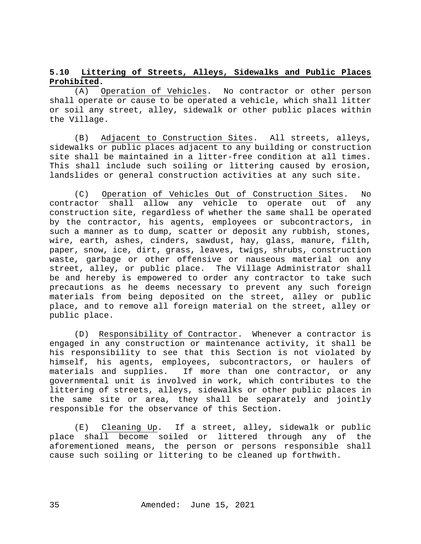# <span id="page-34-0"></span>**5.10 Littering of Streets, Alleys, Sidewalks and Public Places Prohibited.**

(A) Operation of Vehicles. No contractor or other person shall operate or cause to be operated a vehicle, which shall litter or soil any street, alley, sidewalk or other public places within the Village.

(B) Adjacent to Construction Sites. All streets, alleys, sidewalks or public places adjacent to any building or construction site shall be maintained in a litter-free condition at all times. This shall include such soiling or littering caused by erosion, landslides or general construction activities at any such site.

(C) Operation of Vehicles Out of Construction Sites. No contractor shall allow any vehicle to operate out of any construction site, regardless of whether the same shall be operated by the contractor, his agents, employees or subcontractors, in such a manner as to dump, scatter or deposit any rubbish, stones, wire, earth, ashes, cinders, sawdust, hay, glass, manure, filth, paper, snow, ice, dirt, grass, leaves, twigs, shrubs, construction waste, garbage or other offensive or nauseous material on any street, alley, or public place. The Village Administrator shall be and hereby is empowered to order any contractor to take such precautions as he deems necessary to prevent any such foreign materials from being deposited on the street, alley or public place, and to remove all foreign material on the street, alley or public place.

(D) Responsibility of Contractor. Whenever a contractor is engaged in any construction or maintenance activity, it shall be his responsibility to see that this Section is not violated by himself, his agents, employees, subcontractors, or haulers of materials and supplies. If more than one contractor, or any governmental unit is involved in work, which contributes to the littering of streets, alleys, sidewalks or other public places in the same site or area, they shall be separately and jointly responsible for the observance of this Section.

(E) Cleaning Up. If a street, alley, sidewalk or public place shall become soiled or littered through any of the aforementioned means, the person or persons responsible shall cause such soiling or littering to be cleaned up forthwith.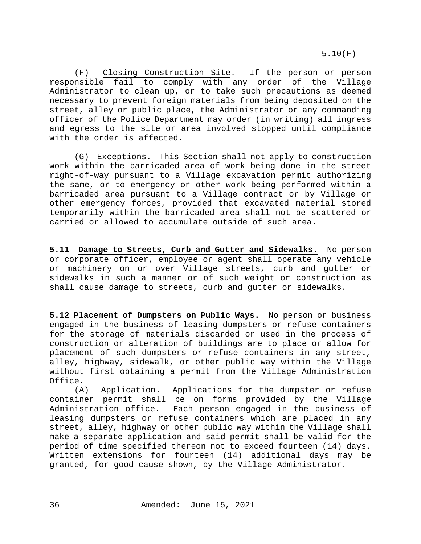(F) Closing Construction Site. If the person or person responsible fail to comply with any order of the Village Administrator to clean up, or to take such precautions as deemed necessary to prevent foreign materials from being deposited on the street, alley or public place, the Administrator or any commanding officer of the Police Department may order (in writing) all ingress and egress to the site or area involved stopped until compliance with the order is affected.

(G) Exceptions. This Section shall not apply to construction work within the barricaded area of work being done in the street right-of-way pursuant to a Village excavation permit authorizing the same, or to emergency or other work being performed within a barricaded area pursuant to a Village contract or by Village or other emergency forces, provided that excavated material stored temporarily within the barricaded area shall not be scattered or carried or allowed to accumulate outside of such area.

<span id="page-35-0"></span>**5.11 Damage to Streets, Curb and Gutter and Sidewalks.** No person or corporate officer, employee or agent shall operate any vehicle or machinery on or over Village streets, curb and gutter or sidewalks in such a manner or of such weight or construction as shall cause damage to streets, curb and gutter or sidewalks.

<span id="page-35-1"></span>**5.12 Placement of Dumpsters on Public Ways.** No person or business engaged in the business of leasing dumpsters or refuse containers for the storage of materials discarded or used in the process of construction or alteration of buildings are to place or allow for placement of such dumpsters or refuse containers in any street, alley, highway, sidewalk, or other public way within the Village without first obtaining a permit from the Village Administration Office.

(A) Application. Applications for the dumpster or refuse container permit shall be on forms provided by the Village<br>Administration office. Each person engaged in the business of Each person engaged in the business of leasing dumpsters or refuse containers which are placed in any street, alley, highway or other public way within the Village shall make a separate application and said permit shall be valid for the period of time specified thereon not to exceed fourteen (14) days. Written extensions for fourteen (14) additional days may be granted, for good cause shown, by the Village Administrator.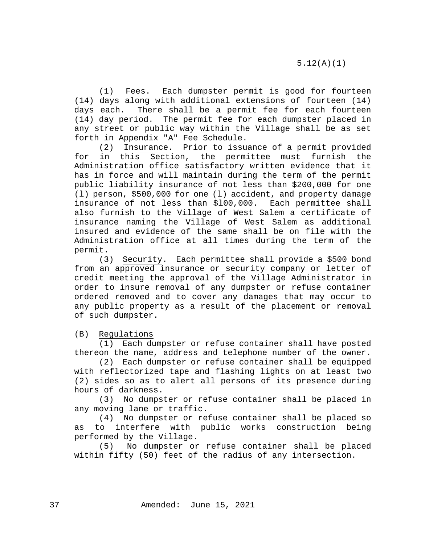(1) Fees. Each dumpster permit is good for fourteen (14) days along with additional extensions of fourteen (14) days each. There shall be a permit fee for each fourteen (14) day period. The permit fee for each dumpster placed in any street or public way within the Village shall be as set forth in Appendix "A" Fee Schedule.

Insurance. Prior to issuance of a permit provided for in this Section, the permittee must furnish the Administration office satisfactory written evidence that it has in force and will maintain during the term of the permit public liability insurance of not less than \$200,000 for one (l) person, \$500,000 for one (l) accident, and property damage insurance of not less than \$l00,000. Each permittee shall also furnish to the Village of West Salem a certificate of insurance naming the Village of West Salem as additional insured and evidence of the same shall be on file with the Administration office at all times during the term of the permit.

(3) Security. Each permittee shall provide a \$500 bond from an approved insurance or security company or letter of credit meeting the approval of the Village Administrator in order to insure removal of any dumpster or refuse container ordered removed and to cover any damages that may occur to any public property as a result of the placement or removal of such dumpster.

(B) Regulations

(1) Each dumpster or refuse container shall have posted thereon the name, address and telephone number of the owner.

(2) Each dumpster or refuse container shall be equipped with reflectorized tape and flashing lights on at least two (2) sides so as to alert all persons of its presence during hours of darkness.

(3) No dumpster or refuse container shall be placed in any moving lane or traffic.

(4) No dumpster or refuse container shall be placed so as to interfere with public works construction being

performed by the Village.<br>(5) No dumpster or No dumpster or refuse container shall be placed within fifty (50) feet of the radius of any intersection.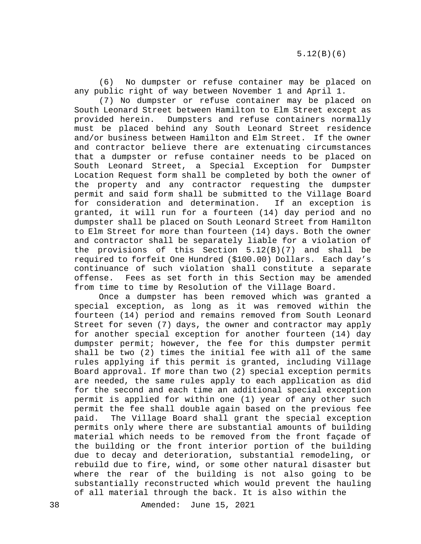(6) No dumpster or refuse container may be placed on any public right of way between November 1 and April 1.

(7) No dumpster or refuse container may be placed on South Leonard Street between Hamilton to Elm Street except as provided herein. Dumpsters and refuse containers normally must be placed behind any South Leonard Street residence and/or business between Hamilton and Elm Street. If the owner and contractor believe there are extenuating circumstances that a dumpster or refuse container needs to be placed on South Leonard Street, a Special Exception for Dumpster Location Request form shall be completed by both the owner of the property and any contractor requesting the dumpster permit and said form shall be submitted to the Village Board for consideration and determination. granted, it will run for a fourteen (14) day period and no dumpster shall be placed on South Leonard Street from Hamilton to Elm Street for more than fourteen (14) days. Both the owner and contractor shall be separately liable for a violation of the provisions of this Section 5.12(B)(7) and shall be required to forfeit One Hundred (\$100.00) Dollars. Each day's continuance of such violation shall constitute a separate offense. Fees as set forth in this Section may be amended from time to time by Resolution of the Village Board.

Once a dumpster has been removed which was granted a special exception, as long as it was removed within the fourteen (14) period and remains removed from South Leonard Street for seven (7) days, the owner and contractor may apply for another special exception for another fourteen (14) day dumpster permit; however, the fee for this dumpster permit shall be two (2) times the initial fee with all of the same rules applying if this permit is granted, including Village Board approval. If more than two (2) special exception permits are needed, the same rules apply to each application as did for the second and each time an additional special exception permit is applied for within one (1) year of any other such permit the fee shall double again based on the previous fee paid. The Village Board shall grant the special exception permits only where there are substantial amounts of building material which needs to be removed from the front façade of the building or the front interior portion of the building due to decay and deterioration, substantial remodeling, or rebuild due to fire, wind, or some other natural disaster but where the rear of the building is not also going to be substantially reconstructed which would prevent the hauling of all material through the back. It is also within the

38 Amended: June 15, 2021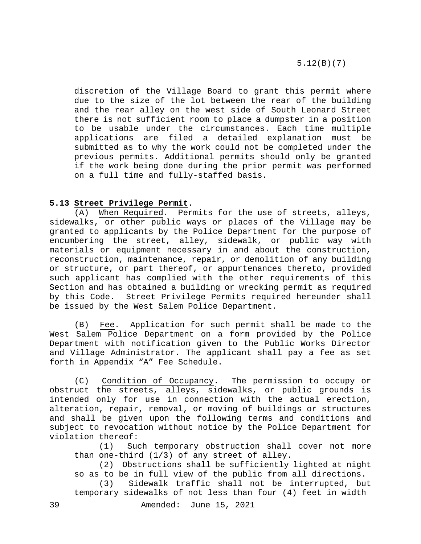discretion of the Village Board to grant this permit where due to the size of the lot between the rear of the building and the rear alley on the west side of South Leonard Street there is not sufficient room to place a dumpster in a position to be usable under the circumstances. Each time multiple applications are filed a detailed explanation must be submitted as to why the work could not be completed under the previous permits. Additional permits should only be granted if the work being done during the prior permit was performed on a full time and fully-staffed basis.

## <span id="page-38-0"></span>**5.13 Street Privilege Permit**.

(A) When Required. Permits for the use of streets, alleys, sidewalks, or other public ways or places of the Village may be granted to applicants by the Police Department for the purpose of encumbering the street, alley, sidewalk, or public way with materials or equipment necessary in and about the construction, reconstruction, maintenance, repair, or demolition of any building or structure, or part thereof, or appurtenances thereto, provided such applicant has complied with the other requirements of this Section and has obtained a building or wrecking permit as required by this Code. Street Privilege Permits required hereunder shall be issued by the West Salem Police Department.

(B) Fee. Application for such permit shall be made to the West Salem Police Department on a form provided by the Police Department with notification given to the Public Works Director and Village Administrator. The applicant shall pay a fee as set forth in Appendix "A" Fee Schedule.

(C) Condition of Occupancy. The permission to occupy or obstruct the streets, alleys, sidewalks, or public grounds is intended only for use in connection with the actual erection, alteration, repair, removal, or moving of buildings or structures and shall be given upon the following terms and conditions and subject to revocation without notice by the Police Department for violation thereof:<br>(1) Su

Such temporary obstruction shall cover not more than one-third (1/3) of any street of alley.

(2) Obstructions shall be sufficiently lighted at night so as to be in full view of the public from all directions.

(3) Sidewalk traffic shall not be interrupted, but temporary sidewalks of not less than four (4) feet in width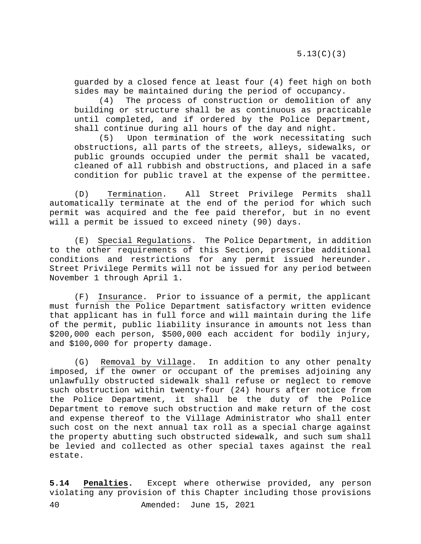guarded by a closed fence at least four (4) feet high on both sides may be maintained during the period of occupancy.

(4) The process of construction or demolition of any building or structure shall be as continuous as practicable until completed, and if ordered by the Police Department, shall continue during all hours of the day and night.

(5) Upon termination of the work necessitating such obstructions, all parts of the streets, alleys, sidewalks, or public grounds occupied under the permit shall be vacated, cleaned of all rubbish and obstructions, and placed in a safe condition for public travel at the expense of the permittee.

(D) Termination. All Street Privilege Permits shall automatically terminate at the end of the period for which such permit was acquired and the fee paid therefor, but in no event will a permit be issued to exceed ninety (90) days.

(E) Special Regulations. The Police Department, in addition to the other requirements of this Section, prescribe additional conditions and restrictions for any permit issued hereunder. Street Privilege Permits will not be issued for any period between November 1 through April 1.

(F) Insurance. Prior to issuance of a permit, the applicant must furnish the Police Department satisfactory written evidence that applicant has in full force and will maintain during the life of the permit, public liability insurance in amounts not less than \$200,000 each person, \$500,000 each accident for bodily injury, and \$100,000 for property damage.

(G) Removal by Village. In addition to any other penalty imposed, if the owner or occupant of the premises adjoining any unlawfully obstructed sidewalk shall refuse or neglect to remove such obstruction within twenty-four (24) hours after notice from the Police Department, it shall be the duty of the Police Department to remove such obstruction and make return of the cost and expense thereof to the Village Administrator who shall enter such cost on the next annual tax roll as a special charge against the property abutting such obstructed sidewalk, and such sum shall be levied and collected as other special taxes against the real estate.

<span id="page-39-0"></span>40 Amended: June 15, 2021 **5.14 Penalties.** Except where otherwise provided, any person violating any provision of this Chapter including those provisions